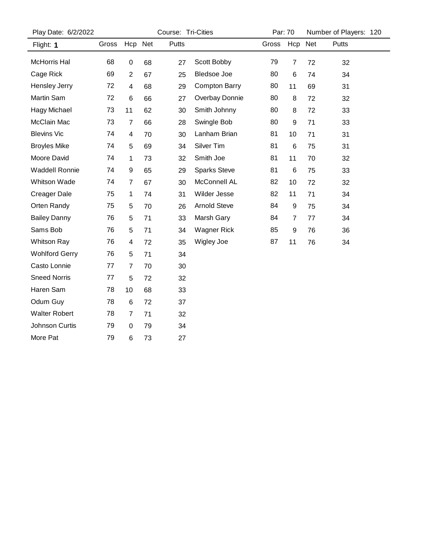| Play Date: 6/2/2022   |       | Course: Tri-Cities |    |              |                      | Par: 70 |                 |     | Number of Players: 120 |
|-----------------------|-------|--------------------|----|--------------|----------------------|---------|-----------------|-----|------------------------|
| Flight: 1             | Gross | Hcp Net            |    | <b>Putts</b> |                      | Gross   | Hcp             | Net | Putts                  |
| <b>McHorris Hal</b>   | 68    | 0                  | 68 | 27           | Scott Bobby          | 79      | 7               | 72  | 32                     |
| Cage Rick             | 69    | $\overline{2}$     | 67 | 25           | <b>Bledsoe Joe</b>   | 80      | $6\phantom{1}6$ | 74  | 34                     |
| Hensley Jerry         | 72    | 4                  | 68 | 29           | <b>Compton Barry</b> | 80      | 11              | 69  | 31                     |
| Martin Sam            | 72    | 6                  | 66 | 27           | Overbay Donnie       | 80      | 8               | 72  | 32                     |
| Hagy Michael          | 73    | 11                 | 62 | 30           | Smith Johnny         | 80      | 8               | 72  | 33                     |
| McClain Mac           | 73    | 7                  | 66 | 28           | Swingle Bob          | 80      | 9               | 71  | 33                     |
| <b>Blevins Vic</b>    | 74    | 4                  | 70 | 30           | Lanham Brian         | 81      | 10              | 71  | 31                     |
| <b>Broyles Mike</b>   | 74    | 5                  | 69 | 34           | Silver Tim           | 81      | $6\phantom{1}6$ | 75  | 31                     |
| Moore David           | 74    | $\mathbf 1$        | 73 | 32           | Smith Joe            | 81      | 11              | 70  | 32                     |
| <b>Waddell Ronnie</b> | 74    | 9                  | 65 | 29           | <b>Sparks Steve</b>  | 81      | 6               | 75  | 33                     |
| <b>Whitson Wade</b>   | 74    | $\overline{7}$     | 67 | 30           | McConnell AL         | 82      | 10              | 72  | 32                     |
| <b>Creager Dale</b>   | 75    | 1                  | 74 | 31           | Wilder Jesse         | 82      | 11              | 71  | 34                     |
| Orten Randy           | 75    | 5                  | 70 | 26           | <b>Arnold Steve</b>  | 84      | 9               | 75  | 34                     |
| <b>Bailey Danny</b>   | 76    | 5                  | 71 | 33           | Marsh Gary           | 84      | 7               | 77  | 34                     |
| Sams Bob              | 76    | 5                  | 71 | 34           | <b>Wagner Rick</b>   | 85      | 9               | 76  | 36                     |
| <b>Whitson Ray</b>    | 76    | 4                  | 72 | 35           | Wigley Joe           | 87      | 11              | 76  | 34                     |
| <b>Wohlford Gerry</b> | 76    | 5                  | 71 | 34           |                      |         |                 |     |                        |
| Casto Lonnie          | 77    | $\overline{7}$     | 70 | 30           |                      |         |                 |     |                        |
| <b>Sneed Norris</b>   | 77    | 5                  | 72 | 32           |                      |         |                 |     |                        |
| Haren Sam             | 78    | 10                 | 68 | 33           |                      |         |                 |     |                        |
| Odum Guy              | 78    | $\,6\,$            | 72 | 37           |                      |         |                 |     |                        |
| <b>Walter Robert</b>  | 78    | 7                  | 71 | 32           |                      |         |                 |     |                        |
| Johnson Curtis        | 79    | $\mathbf 0$        | 79 | 34           |                      |         |                 |     |                        |
| More Pat              | 79    | 6                  | 73 | 27           |                      |         |                 |     |                        |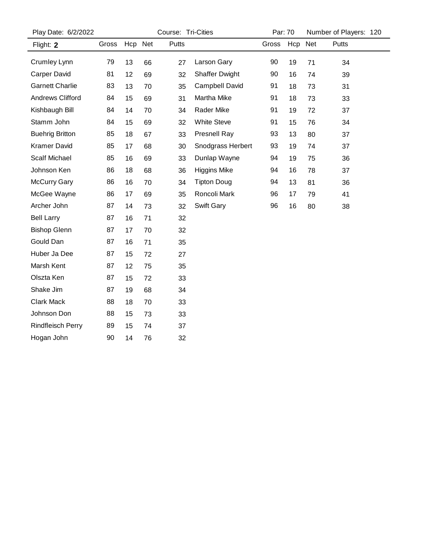| Play Date: 6/2/2022      |       | Course: Tri-Cities |    |       |                       |       | Par: 70 |         | Number of Players: 120 |  |
|--------------------------|-------|--------------------|----|-------|-----------------------|-------|---------|---------|------------------------|--|
| Flight: 2                | Gross | Hcp Net            |    | Putts |                       | Gross |         | Hcp Net | Putts                  |  |
| Crumley Lynn             | 79    | 13                 | 66 | 27    | Larson Gary           | 90    | 19      | 71      | 34                     |  |
| <b>Carper David</b>      | 81    | 12                 | 69 | 32    | <b>Shaffer Dwight</b> | 90    | 16      | 74      | 39                     |  |
| <b>Garnett Charlie</b>   | 83    | 13                 | 70 | 35    | Campbell David        | 91    | 18      | 73      | 31                     |  |
| Andrews Clifford         | 84    | 15                 | 69 | 31    | Martha Mike           | 91    | 18      | 73      | 33                     |  |
| Kishbaugh Bill           | 84    | 14                 | 70 | 34    | Rader Mike            | 91    | 19      | 72      | 37                     |  |
| Stamm John               | 84    | 15                 | 69 | 32    | <b>White Steve</b>    | 91    | 15      | 76      | 34                     |  |
| <b>Buehrig Britton</b>   | 85    | 18                 | 67 | 33    | Presnell Ray          | 93    | 13      | 80      | 37                     |  |
| <b>Kramer David</b>      | 85    | 17                 | 68 | 30    | Snodgrass Herbert     | 93    | 19      | 74      | 37                     |  |
| <b>Scalf Michael</b>     | 85    | 16                 | 69 | 33    | Dunlap Wayne          | 94    | 19      | 75      | 36                     |  |
| Johnson Ken              | 86    | 18                 | 68 | 36    | <b>Higgins Mike</b>   | 94    | 16      | 78      | 37                     |  |
| McCurry Gary             | 86    | 16                 | 70 | 34    | <b>Tipton Doug</b>    | 94    | 13      | 81      | 36                     |  |
| McGee Wayne              | 86    | 17                 | 69 | 35    | Roncoli Mark          | 96    | 17      | 79      | 41                     |  |
| Archer John              | 87    | 14                 | 73 | 32    | Swift Gary            | 96    | 16      | 80      | 38                     |  |
| <b>Bell Larry</b>        | 87    | 16                 | 71 | 32    |                       |       |         |         |                        |  |
| <b>Bishop Glenn</b>      | 87    | 17                 | 70 | 32    |                       |       |         |         |                        |  |
| Gould Dan                | 87    | 16                 | 71 | 35    |                       |       |         |         |                        |  |
| Huber Ja Dee             | 87    | 15                 | 72 | 27    |                       |       |         |         |                        |  |
| Marsh Kent               | 87    | 12                 | 75 | 35    |                       |       |         |         |                        |  |
| Olszta Ken               | 87    | 15                 | 72 | 33    |                       |       |         |         |                        |  |
| Shake Jim                | 87    | 19                 | 68 | 34    |                       |       |         |         |                        |  |
| Clark Mack               | 88    | 18                 | 70 | 33    |                       |       |         |         |                        |  |
| Johnson Don              | 88    | 15                 | 73 | 33    |                       |       |         |         |                        |  |
| <b>Rindfleisch Perry</b> | 89    | 15                 | 74 | 37    |                       |       |         |         |                        |  |
| Hogan John               | 90    | 14                 | 76 | 32    |                       |       |         |         |                        |  |